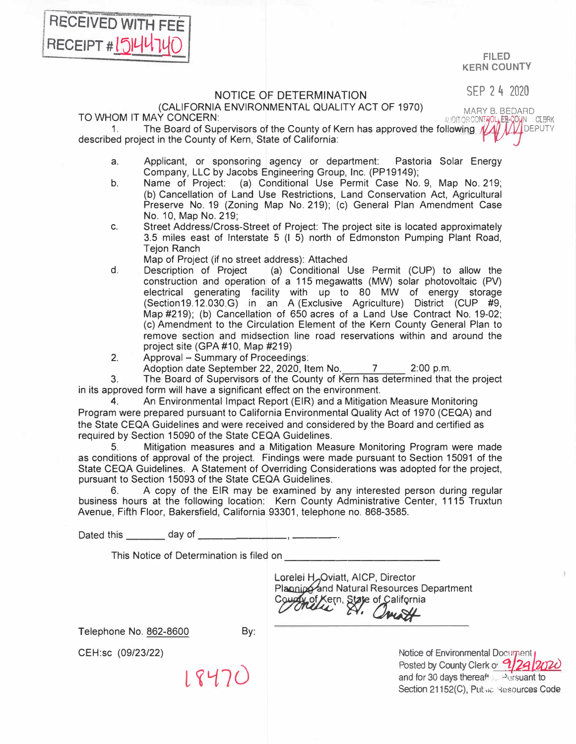FILED **KERN COUNTY** 

SEP 2 4 2020

## NOTICE OF DETERMINATION<br>(CALIFORNIA ENVIRONMENTAL QUALITY ACT OF 1970) (CALIFORNIA ENVIRONMENTAL QUALITY ACT OF 1970)<br>TO WHOM IT MAY CONCERN:<br>The Board of Supervisors of the County of Kern has approved the following **AND A**

EB-COUN CLERK

1. The Board of Supervisors of the County of Kern has approved the following  $\mathcal{U}$  /  $\mathcal{U}$  DEPUTY described project in the County of Kern, State of California:

- a. Applicant, or sponsoring agency or department: Pastoria Solar Energy Company, LLC by Jacobs Engineering Group, Inc. (PP19149);
- b. Name of Project: (a) Conditional Use Permit Case No. 9, Map No. 219; (b) Cancellation of Land Use Restrictions, Land Conservation Act, Agricultural Preserve No. 19 (Zoning Map No. 219); (c) General Plan Amendment Case No. 10, Map No. 219;
- c. Street Address/Cross-Street of Project: The project site is located approximately 3.5 miles east of Interstate 5 (I 5) north of Edmonston Pumping Plant Road, Tejon Ranch

Map of Project (if no street address): Attached<br>Description of Project (a) Conditional I

- d. Description of Project (a) Conditional Use Permit (CUP) to allow the construction and operation of a 115 megawatts (MW) solar photovoltaic (PV) electrical generating facility with up to 80 MW of energy storage (Section19.12.030.G) in an A (Exclusive Agriculture) District (CUP #9, Map #219); (b) Cancellation of 650 acres of a Land Use Contract No. 19-02; (c) Amendment to the Circulation Element of the Kern County General Plan to remove section and midsection line road reservations within and around the project site (GPA #10, Map #219)
- 2. Approval Summary of Proceedings:
	- Adoption date September 22, 2020, Item No. 7 2:00 p.m.

3. The Board of Supervisors of the County of Kern has determined that the project in its approved form will have a significant effect on the environment.

4. An Environmental Impact Report (EIR) and a Mitigation Measure Monitoring Program were prepared pursuant to California Environmental Quality Act of 1970 (CEQA) and the State CEQA Guidelines and were received and considered by the Board and certified as required by Section 15090 of the State CEQA Guidelines.

5. Mitigation measures and a Mitigation Measure Monitoring Program were made as conditions of approval of the project. Findings were made pursuant to Section 15091 of the State CEQA Guidelines. A Statement of Overriding Considerations was adopted for the project, pursuant to Section 15093 of the State CEQA Guidelines.<br>6. A copy of the FIR may be examined by

6. A copy of the EIR may be examined by any interested person during regular business hours at the following location: Kern County Administrative Center, 1115 Truxtun Avenue, Fifth Floor, Bakersfield, California 93301, telephone no. 868-3585.

Dated this day of **EXECUTE:** 

18470

This Notice of Determination is filed on

Lorelei H, Oviatt, AICP, Director<br>Planning and Natural Resources Department Courty of Xern, State of California

Telephone No. 862-8600

By:

CEH:sc (09/23/22)

RECEIVED WITH FEE

RECEIPT #1514471

Notice of Environmental Document Posted by County Clerk of **9/24/2020** and for 30 days thereafts. Pursuant to Section 21152(C), Public Resources Code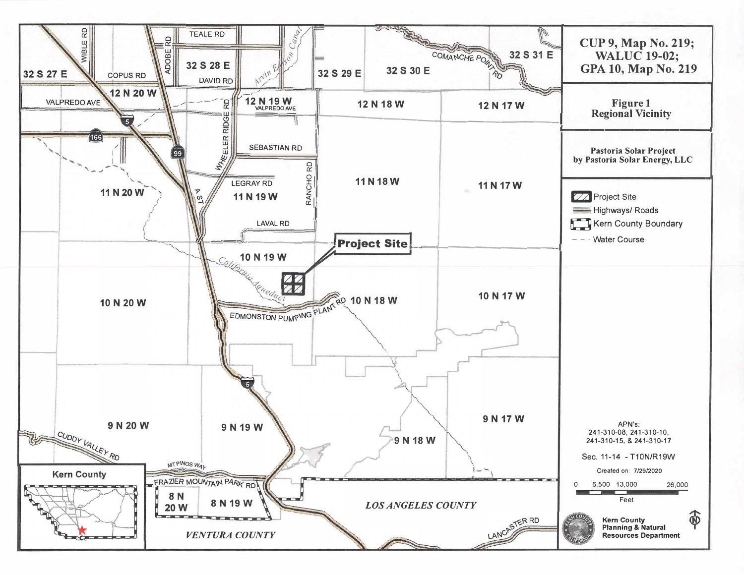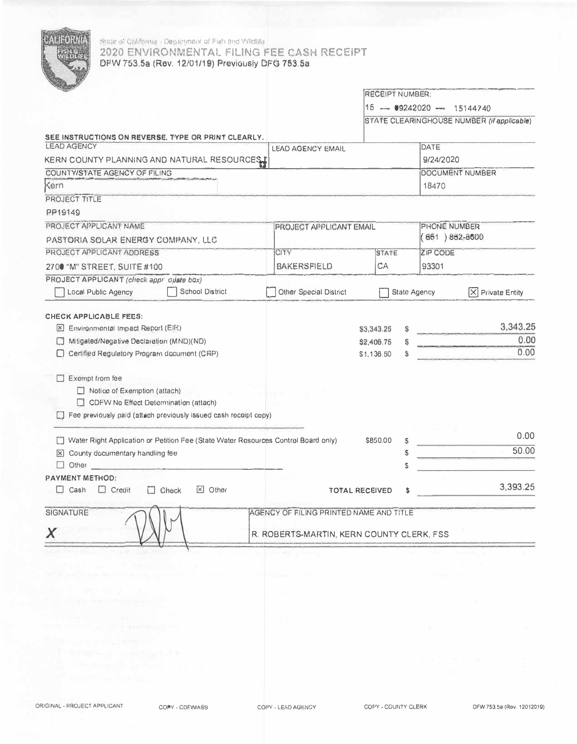

## State of California - Department of Fish and Wildlife 2020 ENVIRONMENTAL FILING FEE CASH RECEIPT DFW 753.5a (Rev. 12/01/19) Previously DFG 753.5a

|                                                                                                                                                                                                                                                                                                                                       |                                                                                      | <b>RECEIPT NUMBER:</b>                 |                           |           |                                            |  |
|---------------------------------------------------------------------------------------------------------------------------------------------------------------------------------------------------------------------------------------------------------------------------------------------------------------------------------------|--------------------------------------------------------------------------------------|----------------------------------------|---------------------------|-----------|--------------------------------------------|--|
|                                                                                                                                                                                                                                                                                                                                       |                                                                                      |                                        | $15 - 9242020 - 15144740$ |           |                                            |  |
|                                                                                                                                                                                                                                                                                                                                       |                                                                                      |                                        |                           |           | STATE CLEARINGHOUSE NUMBER (if applicable) |  |
| SEE INSTRUCTIONS ON REVERSE. TYPE OR PRINT CLEARLY.                                                                                                                                                                                                                                                                                   |                                                                                      |                                        |                           |           |                                            |  |
| <b>LEAD AGENCY</b>                                                                                                                                                                                                                                                                                                                    | <b>LEAD AGENCY EMAIL</b>                                                             |                                        |                           | DATE      |                                            |  |
| KERN COUNTY PLANNING AND NATURAL RESOURCES                                                                                                                                                                                                                                                                                            |                                                                                      |                                        |                           | 9/24/2020 |                                            |  |
| COUNTY/STATE AGENCY OF FILING                                                                                                                                                                                                                                                                                                         |                                                                                      |                                        |                           |           | DOCUMENT NUMBER                            |  |
| Kern                                                                                                                                                                                                                                                                                                                                  |                                                                                      |                                        |                           | 18470     |                                            |  |
| PROJECT TITLE                                                                                                                                                                                                                                                                                                                         |                                                                                      |                                        |                           |           |                                            |  |
| PP19149                                                                                                                                                                                                                                                                                                                               |                                                                                      |                                        |                           |           |                                            |  |
| PROJECT APPLICANT NAME                                                                                                                                                                                                                                                                                                                | <b>PROJECT APPLICANT EMAIL</b>                                                       |                                        | PHONE NUMBER              |           |                                            |  |
| PASTORIA SOLAR ENERGY COMPANY, LLC                                                                                                                                                                                                                                                                                                    |                                                                                      |                                        | $(661)882 - 8600$         |           |                                            |  |
| PROJECT APPLICANT ADDRESS                                                                                                                                                                                                                                                                                                             | CITY                                                                                 |                                        | <b>STATE</b>              |           | <b>ZIP CODE</b>                            |  |
| 2700 "M" STREET, SUITE #100                                                                                                                                                                                                                                                                                                           | BAKERSFIELD                                                                          | CA                                     |                           | 93301     |                                            |  |
| PROJECT APPLICANT (check appr opate box)                                                                                                                                                                                                                                                                                              |                                                                                      |                                        |                           |           |                                            |  |
| School District<br>Local Public Agency                                                                                                                                                                                                                                                                                                | Other Special District                                                               |                                        | <b>State Agency</b>       |           | ΙXΙ<br><b>Private Entity</b>               |  |
| CHECK APPLICABLE FEES:<br>Environmental Impact Report (EIR)<br>Mitigated/Negative Declaration (MND)(ND)<br>[Certified Regulatory Program document (CRP)<br>$\Box$ Exempt from fee<br>$\Box$ Notice of Exemption (attach)<br>CDFW No Effect Determination (attach)<br>Fee previously paid (attach previously issued cash receipt copy) |                                                                                      | \$3,343.25<br>\$2,406.75<br>\$1,136.50 | Ś                         |           | 3,343.25<br>0.00<br>0.00                   |  |
| Water Right Application or Petition Fee (State Water Resources Control Board only)                                                                                                                                                                                                                                                    |                                                                                      | \$850.00                               | S                         |           | 0.00                                       |  |
| X County documentary handling fee                                                                                                                                                                                                                                                                                                     |                                                                                      |                                        | S                         |           | 50.00                                      |  |
| $\Box$ Other                                                                                                                                                                                                                                                                                                                          |                                                                                      |                                        |                           |           |                                            |  |
| PAYMENT METHOD:                                                                                                                                                                                                                                                                                                                       |                                                                                      |                                        |                           |           |                                            |  |
| $\Box$ Cash<br>$\Box$ Credit<br>$\Box$ Check<br>$\boxtimes$ Other                                                                                                                                                                                                                                                                     |                                                                                      | <b>TOTAL RECEIVED</b>                  | \$                        |           | 3,393.25                                   |  |
| SIGNATURE<br>Χ                                                                                                                                                                                                                                                                                                                        | AGENCY OF FILING PRINTED NAME AND TITLE<br>R. ROBERTS-MARTIN, KERN COUNTY CLERK, FSS |                                        |                           |           |                                            |  |

COPY - CDFW/ASB